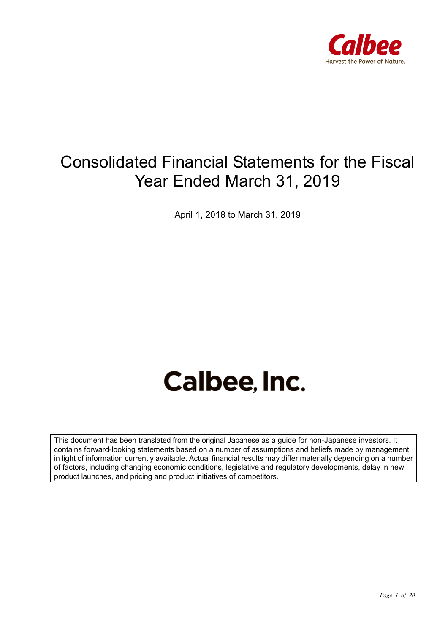

## Consolidated Financial Statements for the Fiscal Year Ended March 31, 2019

April 1, 2018 to March 31, 2019

# **Calbee, Inc.**

This document has been translated from the original Japanese as a guide for non-Japanese investors. It contains forward-looking statements based on a number of assumptions and beliefs made by management in light of information currently available. Actual financial results may differ materially depending on a number of factors, including changing economic conditions, legislative and regulatory developments, delay in new product launches, and pricing and product initiatives of competitors.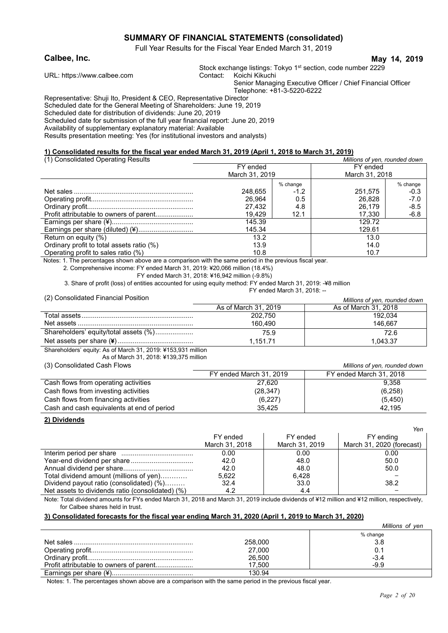#### **SUMMARY OF FINANCIAL STATEMENTS (consolidated)**

Full Year Results for the Fiscal Year Ended March 31, 2019

#### **Calbee, Inc. May 14, 2019**

URL: https://www.calbee.com

Stock exchange listings: Tokyo 1<sup>st</sup> section, code number 2229 Contact: Koichi Kikuchi

Senior Managing Executive Officer / Chief Financial Officer Telephone: +81-3-5220-6222

Representative: Shuji Ito, President & CEO, Representative Director Scheduled date for the General Meeting of Shareholders: June 19, 2019

Scheduled date for distribution of dividends: June 20, 2019

Scheduled date for submission of the full year financial report: June 20, 2019

Availability of supplementary explanatory material: Available

Results presentation meeting: Yes (for institutional investors and analysts)

#### **1) Consolidated results for the fiscal year ended March 31, 2019 (April 1, 2018 to March 31, 2019)**

| (1) Consolidated Operating Results        |                |          | Millions of yen, rounded down |          |
|-------------------------------------------|----------------|----------|-------------------------------|----------|
|                                           | FY ended       |          | FY ended                      |          |
|                                           | March 31, 2019 |          | March 31, 2018                |          |
|                                           |                | % change |                               | % change |
|                                           | 248.655        | $-1.2$   | 251,575                       | $-0.3$   |
|                                           | 26.964         | 0.5      | 26.828                        | $-7.0$   |
|                                           | 27.432         | 4.8      | 26.179                        | $-8.5$   |
|                                           | 19.429         | 12.1     | 17.330                        | $-6.8$   |
|                                           | 145.39         |          | 129.72                        |          |
|                                           | 145.34         |          | 129.61                        |          |
| Return on equity (%)                      | 13.2           |          | 13.0                          |          |
| Ordinary profit to total assets ratio (%) | 13.9           |          | 14.0                          |          |
| Operating profit to sales ratio (%)       | 10.8           |          | 10.7                          |          |

Notes: 1. The percentages shown above are a comparison with the same period in the previous fiscal year.

2. Comprehensive income: FY ended March 31, 2019: ¥20,066 million (18.4%)

FY ended March 31, 2018: ¥16,942 million (-9.8%)

3. Share of profit (loss) of entities accounted for using equity method: FY ended March 31, 2019: -¥8 million FY ended March 31, 2018: --

(2) Consolidated Financial Position *Millions of yen, rounded down*

| $(2)$ consensation in manipular extraction | Millions of ven. rounded down |                      |  |
|--------------------------------------------|-------------------------------|----------------------|--|
|                                            | As of March 31, 2019          | As of March 31, 2018 |  |
|                                            | 202.750                       | 192.034              |  |
|                                            | 160.490                       | 146.667              |  |
| Shareholders' equity/total assets (%)      | 75.9                          | 72.6                 |  |
|                                            | 1.151.71                      | 1.043.37             |  |

Shareholders' equity: As of March 31, 2019: ¥153,931 million

As of March 31, 2018: ¥139,375 million

(3) Consolidated Cash Flows *Millions of yen, rounded down*

| 107 Sonoonddiod Odon't Iomo                |                         | willion of you, rounded down |
|--------------------------------------------|-------------------------|------------------------------|
|                                            | FY ended March 31, 2019 | FY ended March 31, 2018      |
| Cash flows from operating activities       | 27,620                  | 9.358                        |
| Cash flows from investing activities       | (28, 347)               | (6,258)                      |
| Cash flows from financing activities       | (6,227)                 | (5,450)                      |
| Cash and cash equivalents at end of period | 35.425                  | 42.195                       |

#### **2) Dividends**

|                                                  |                |                | 1511                      |
|--------------------------------------------------|----------------|----------------|---------------------------|
|                                                  | FY ended       | FY ended       | FY ending                 |
|                                                  | March 31, 2018 | March 31, 2019 | March 31, 2020 (forecast) |
|                                                  | 0.00           | 0.00           | 0.00                      |
|                                                  | 42.0           | 48.0           | 50.0                      |
|                                                  | 42.0           | 48.0           | 50.0                      |
| Total dividend amount (millions of yen)          | 5.622          | 6.428          |                           |
| Dividend payout ratio (consolidated) (%)         | 32.4           | 33.0           | 38.2                      |
| Net assets to dividends ratio (consolidated) (%) | 4.2            | 4.4            |                           |

Note: Total dividend amounts for FYs ended March 31, 2018 and March 31, 2019 include dividends of ¥12 million and ¥12 million, respectively, for Calbee shares held in trust.

#### **3) Consolidated forecasts for the fiscal year ending March 31, 2020 (April 1, 2019 to March 31, 2020)**

|         | Millions of yen |
|---------|-----------------|
|         | % change        |
| 258,000 | 3.8             |
| 27,000  |                 |
| 26,500  | $-3.4$          |
| 17.500  | -9.9            |
| 130.94  |                 |

Notes: 1. The percentages shown above are a comparison with the same period in the previous fiscal year.

*Yen*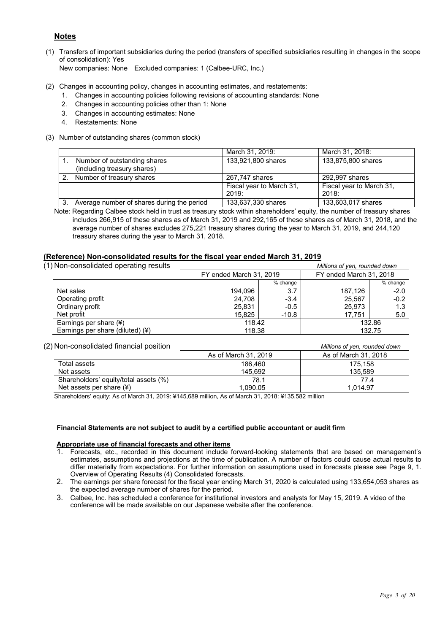#### **Notes**

- (1) Transfers of important subsidiaries during the period (transfers of specified subsidiaries resulting in changes in the scope of consolidation): Yes New companies: None Excluded companies: 1 (Calbee-URC, Inc.)
- (2) Changes in accounting policy, changes in accounting estimates, and restatements:
	- 1. Changes in accounting policies following revisions of accounting standards: None
	- 2. Changes in accounting policies other than 1: None
	- 3. Changes in accounting estimates: None
	- 4. Restatements: None
- (3) Number of outstanding shares (common stock)

|                                            | March 31, 2019:          | March 31, 2018:          |
|--------------------------------------------|--------------------------|--------------------------|
| Number of outstanding shares               | 133,921,800 shares       | 133,875,800 shares       |
| (including treasury shares)                |                          |                          |
| Number of treasury shares                  | 267,747 shares           | 292,997 shares           |
|                                            | Fiscal year to March 31, | Fiscal year to March 31, |
|                                            | 2019:                    | 2018:                    |
| Average number of shares during the period | 133,637,330 shares       | 133,603,017 shares       |

Note: Regarding Calbee stock held in trust as treasury stock within shareholders' equity, the number of treasury shares includes 266,915 of these shares as of March 31, 2019 and 292,165 of these shares as of March 31, 2018, and the average number of shares excludes 275,221 treasury shares during the year to March 31, 2019, and 244,120 treasury shares during the year to March 31, 2018.

#### **(Reference) Non-consolidated results for the fiscal year ended March 31, 2019**

| (1) Non-consolidated operating results |                         |            | Millions of yen, rounded down |          |
|----------------------------------------|-------------------------|------------|-------------------------------|----------|
|                                        | FY ended March 31, 2019 |            | FY ended March 31, 2018       |          |
|                                        |                         | $%$ change |                               | % change |
| Net sales                              | 194.096                 | 3.7        | 187.126                       | $-2.0$   |
| Operating profit                       | 24.708                  | $-3.4$     | 25.567                        | $-0.2$   |
| Ordinary profit                        | 25.831                  | $-0.5$     | 25.973                        | 1.3      |
| Net profit                             | 15.825                  | $-10.8$    | 17.751                        | 5.0      |
| Earnings per share (¥)                 | 118.42                  |            |                               | 132.86   |
| Earnings per share (diluted) (¥)       | 118.38                  |            | 132.75                        |          |

#### (2) Non-consolidated financial position *Millions of yen, rounded down*

| As of March 31, 2019 | As of March 31, 2018 |
|----------------------|----------------------|
| 186.460              | 175.158              |
| 145.692              | 135.589              |
| 78.1                 | 77.4                 |
| 1,090.05             | 1.014.97             |
|                      |                      |

Shareholders' equity: As of March 31, 2019: ¥145,689 million, As of March 31, 2018: ¥135,582 million

#### **Financial Statements are not subject to audit by a certified public accountant or audit firm**

#### **Appropriate use of financial forecasts and other items**

- Forecasts, etc., recorded in this document include forward-looking statements that are based on management's estimates, assumptions and projections at the time of publication. A number of factors could cause actual results to differ materially from expectations. For further information on assumptions used in forecasts please see Page 9, 1. Overview of Operating Results (4) Consolidated forecasts.
- 2. The earnings per share forecast for the fiscal year ending March 31, 2020 is calculated using 133,654,053 shares as the expected average number of shares for the period.
- 3. Calbee, Inc. has scheduled a conference for institutional investors and analysts for May 15, 2019. A video of the conference will be made available on our Japanese website after the conference.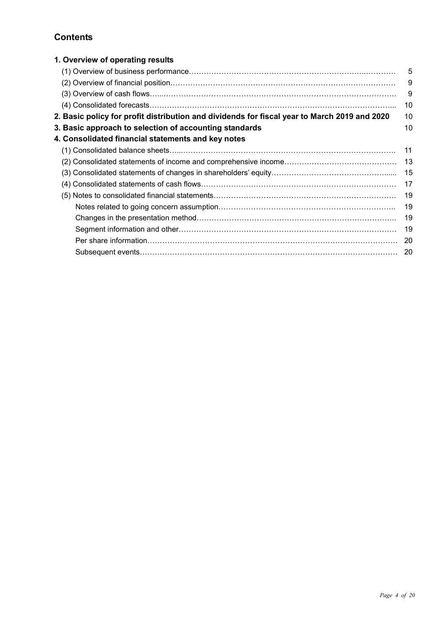### **Contents**

| 1. Overview of operating results                                                             |     |
|----------------------------------------------------------------------------------------------|-----|
|                                                                                              | 5   |
|                                                                                              | 9   |
|                                                                                              | 9   |
|                                                                                              | 10  |
| 2. Basic policy for profit distribution and dividends for fiscal year to March 2019 and 2020 | 10  |
| 3. Basic approach to selection of accounting standards                                       | 10  |
| 4. Consolidated financial statements and key notes                                           |     |
|                                                                                              | 11  |
|                                                                                              | 13  |
|                                                                                              | 15  |
|                                                                                              | 17  |
|                                                                                              | 19  |
|                                                                                              | 19  |
|                                                                                              | 19  |
|                                                                                              | 19  |
|                                                                                              | 20  |
|                                                                                              | -20 |
|                                                                                              |     |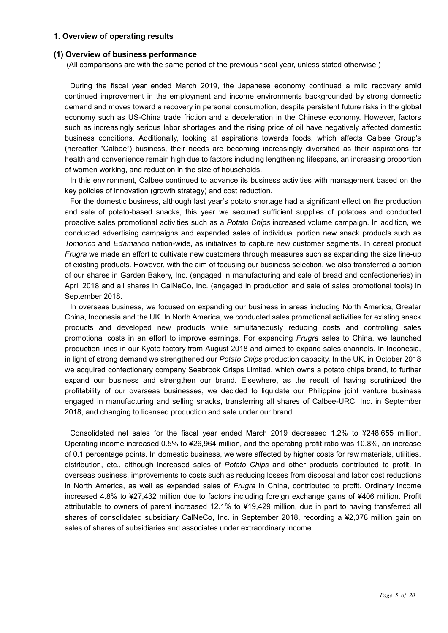#### **1. Overview of operating results**

#### **(1) Overview of business performance**

(All comparisons are with the same period of the previous fiscal year, unless stated otherwise.)

During the fiscal year ended March 2019, the Japanese economy continued a mild recovery amid continued improvement in the employment and income environments backgrounded by strong domestic demand and moves toward a recovery in personal consumption, despite persistent future risks in the global economy such as US-China trade friction and a deceleration in the Chinese economy. However, factors such as increasingly serious labor shortages and the rising price of oil have negatively affected domestic business conditions. Additionally, looking at aspirations towards foods, which affects Calbee Group's (hereafter "Calbee") business, their needs are becoming increasingly diversified as their aspirations for health and convenience remain high due to factors including lengthening lifespans, an increasing proportion of women working, and reduction in the size of households.

In this environment, Calbee continued to advance its business activities with management based on the key policies of innovation (growth strategy) and cost reduction.

For the domestic business, although last year's potato shortage had a significant effect on the production and sale of potato-based snacks, this year we secured sufficient supplies of potatoes and conducted proactive sales promotional activities such as a *Potato Chips* increased volume campaign. In addition, we conducted advertising campaigns and expanded sales of individual portion new snack products such as *Tomorico* and *Edamarico* nation-wide, as initiatives to capture new customer segments. In cereal product *Frugra* we made an effort to cultivate new customers through measures such as expanding the size line-up of existing products. However, with the aim of focusing our business selection, we also transferred a portion of our shares in Garden Bakery, Inc. (engaged in manufacturing and sale of bread and confectioneries) in April 2018 and all shares in CalNeCo, Inc. (engaged in production and sale of sales promotional tools) in September 2018.

In overseas business, we focused on expanding our business in areas including North America, Greater China, Indonesia and the UK. In North America, we conducted sales promotional activities for existing snack products and developed new products while simultaneously reducing costs and controlling sales promotional costs in an effort to improve earnings. For expanding *Frugra* sales to China, we launched production lines in our Kyoto factory from August 2018 and aimed to expand sales channels. In Indonesia, in light of strong demand we strengthened our *Potato Chips* production capacity. In the UK, in October 2018 we acquired confectionary company Seabrook Crisps Limited, which owns a potato chips brand, to further expand our business and strengthen our brand. Elsewhere, as the result of having scrutinized the profitability of our overseas businesses, we decided to liquidate our Philippine joint venture business engaged in manufacturing and selling snacks, transferring all shares of Calbee-URC, Inc. in September 2018, and changing to licensed production and sale under our brand.

Consolidated net sales for the fiscal year ended March 2019 decreased 1.2% to ¥248,655 million. Operating income increased 0.5% to ¥26,964 million, and the operating profit ratio was 10.8%, an increase of 0.1 percentage points. In domestic business, we were affected by higher costs for raw materials, utilities, distribution, etc., although increased sales of *Potato Chips* and other products contributed to profit. In overseas business, improvements to costs such as reducing losses from disposal and labor cost reductions in North America, as well as expanded sales of *Frugra* in China, contributed to profit. Ordinary income increased 4.8% to ¥27,432 million due to factors including foreign exchange gains of ¥406 million. Profit attributable to owners of parent increased 12.1% to ¥19,429 million, due in part to having transferred all shares of consolidated subsidiary CalNeCo, Inc. in September 2018, recording a ¥2,378 million gain on sales of shares of subsidiaries and associates under extraordinary income.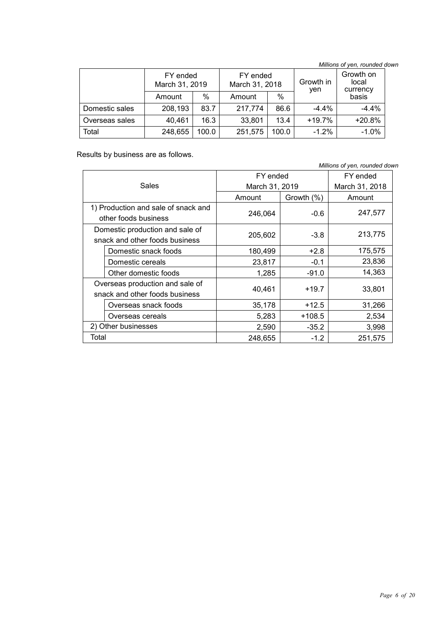*Millions of yen, rounded down*

|                | FY ended<br>March 31, 2019 |       | FY ended<br>March 31, 2018 |               | Growth in<br>yen | Growth on<br>local<br>currency |
|----------------|----------------------------|-------|----------------------------|---------------|------------------|--------------------------------|
|                | Amount                     | %     | Amount                     | $\frac{0}{0}$ |                  | basis                          |
| Domestic sales | 208,193                    | 83.7  | 217,774                    | 86.6          | $-4.4\%$         | $-4.4%$                        |
| Overseas sales | 40,461                     | 16.3  | 33,801                     | 13.4          | $+19.7%$         | $+20.8%$                       |
| Total          | 248,655                    | 100.0 | 251,575                    | 100.0         | $-1.2%$          | $-1.0%$                        |

Results by business are as follows.

*Millions of yen, rounded down* Sales FY ended March 31, 2019 FY ended March 31, 2018 Amount | Growth (%) | Amount 1) Production and sale of snack and  $\left\lceil \frac{1}{247,577} \right\rceil$   $\left\lceil \frac{1}{247,577} \right\rceil$   $\left\lceil \frac{247,577}{247,577} \right\rceil$ Domestic production and sale of Solitestic production and sale of the contract 205,602 -3.8 213,775 Domestic snack foods 180,499 +2.8 +2.8 175,575 Domestic cereals  $23,817$   $-0.1$  23,836 Other domestic foods  $\begin{array}{|c|c|c|c|c|c|c|c|c|} \hline \text{Other domestic foods} & & & \text{1,285} & & \text{-91.0} & & \text{14,363} \ \hline \end{array}$ Overseas production and sale of snack and other foods business  $40,461$  +19.7  $33,801$ Overseas snack foods  $\begin{array}{|c|c|c|c|c|c|c|c|} \hline \end{array}$  35,178 +12.5 31,266 Overseas cereals 1.1 108.5 | 5,283 | 108.5 | 2,534 2) Other businesses 2,590 -35.2 3,998 Total 248,655 -1.2 251,575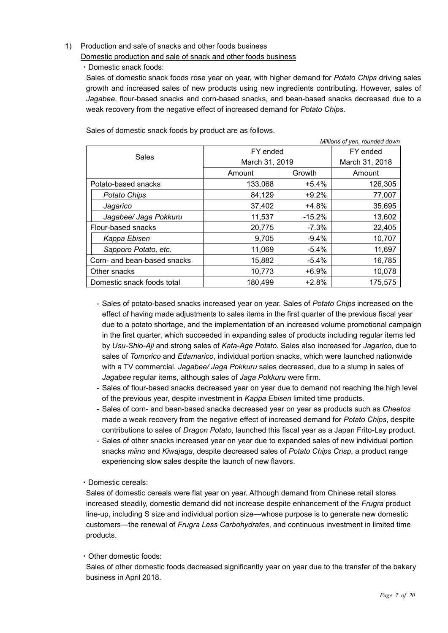#### 1) Production and sale of snacks and other foods business Domestic production and sale of snack and other foods business

#### ・Domestic snack foods:

Sales of domestic snack foods rose year on year, with higher demand for *Potato Chips* driving sales growth and increased sales of new products using new ingredients contributing. However, sales of *Jagabee*, flour-based snacks and corn-based snacks, and bean-based snacks decreased due to a weak recovery from the negative effect of increased demand for *Potato Chips*.

*Millions of yen, rounded down*

Sales of domestic snack foods by product are as follows.

| <i>Millions of yen, founded down</i> |                |          |                |  |  |
|--------------------------------------|----------------|----------|----------------|--|--|
| Sales                                |                | FY ended |                |  |  |
|                                      | March 31, 2019 |          | March 31, 2018 |  |  |
|                                      | Amount         | Growth   | Amount         |  |  |
| Potato-based snacks                  | 133,068        | $+5.4%$  | 126,305        |  |  |
| Potato Chips                         | 84,129         | +9.2%    | 77,007         |  |  |
| Jagarico                             | 37,402         | +4.8%    | 35,695         |  |  |
| Jagabee/ Jaga Pokkuru                | 11,537         | $-15.2%$ | 13,602         |  |  |
| Flour-based snacks                   | 20,775         | $-7.3%$  | 22,405         |  |  |
| Kappa Ebisen                         | 9,705          | $-9.4%$  | 10,707         |  |  |
| Sapporo Potato, etc.                 | 11,069         | $-5.4%$  | 11,697         |  |  |
| Corn- and bean-based snacks          | 15,882         | $-5.4%$  | 16,785         |  |  |
| Other snacks                         | 10,773         | $+6.9%$  | 10,078         |  |  |
| Domestic snack foods total           | 180,499        | $+2.8%$  | 175,575        |  |  |

- Sales of potato-based snacks increased year on year. Sales of *Potato Chips* increased on the effect of having made adjustments to sales items in the first quarter of the previous fiscal year due to a potato shortage, and the implementation of an increased volume promotional campaign in the first quarter, which succeeded in expanding sales of products including regular items led by *Usu-Shio-Aji* and strong sales of *Kata-Age Potato.* Sales also increased for *Jagarico*, due to sales of *Tomorico* and *Edamarico*, individual portion snacks, which were launched nationwide with a TV commercial. *Jagabee/ Jaga Pokkuru* sales decreased, due to a slump in sales of *Jagabee* regular items, although sales of *Jaga Pokkuru* were firm.
- Sales of flour-based snacks decreased year on year due to demand not reaching the high level of the previous year, despite investment in *Kappa Ebisen* limited time products.
- Sales of corn- and bean-based snacks decreased year on year as products such as *Cheetos*  made a weak recovery from the negative effect of increased demand for *Potato Chips*, despite contributions to sales of *Dragon Potato*, launched this fiscal year as a Japan Frito-Lay product.
- Sales of other snacks increased year on year due to expanded sales of new individual portion snacks *miino* and *Kiwajaga*, despite decreased sales of *Potato Chips Crisp*, a product range experiencing slow sales despite the launch of new flavors.
- ・Domestic cereals:

Sales of domestic cereals were flat year on year. Although demand from Chinese retail stores increased steadily, domestic demand did not increase despite enhancement of the *Frugra* product line-up, including S size and individual portion size—whose purpose is to generate new domestic customers—the renewal of *Frugra Less Carbohydrates*, and continuous investment in limited time products.

・Other domestic foods:

Sales of other domestic foods decreased significantly year on year due to the transfer of the bakery business in April 2018.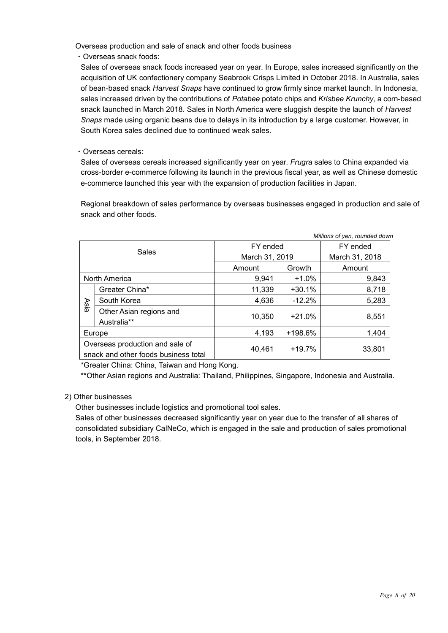Overseas production and sale of snack and other foods business

・Overseas snack foods:

Sales of overseas snack foods increased year on year. In Europe, sales increased significantly on the acquisition of UK confectionery company Seabrook Crisps Limited in October 2018. In Australia, sales of bean-based snack *Harvest Snaps* have continued to grow firmly since market launch. In Indonesia, sales increased driven by the contributions of *Potabee* potato chips and *Krisbee Krunchy*, a corn-based snack launched in March 2018. Sales in North America were sluggish despite the launch of *Harvest Snaps* made using organic beans due to delays in its introduction by a large customer. However, in South Korea sales declined due to continued weak sales.

#### ・Overseas cereals:

Sales of overseas cereals increased significantly year on year. *Frugra* sales to China expanded via cross-border e-commerce following its launch in the previous fiscal year, as well as Chinese domestic e-commerce launched this year with the expansion of production facilities in Japan.

Regional breakdown of sales performance by overseas businesses engaged in production and sale of snack and other foods.

|       |                                                                         |                  |          | Millions of yen, rounded down |
|-------|-------------------------------------------------------------------------|------------------|----------|-------------------------------|
|       |                                                                         | FY ended         |          | FY ended                      |
| Sales |                                                                         | March 31, 2019   |          | March 31, 2018                |
|       |                                                                         | Amount           | Growth   | Amount                        |
|       | North America                                                           | $+1.0%$<br>9.941 |          | 9,843                         |
|       | Greater China*                                                          | 11,339           | $+30.1%$ | 8,718                         |
| Asla  | South Korea                                                             | 4,636            | $-12.2%$ | 5,283                         |
|       | Other Asian regions and<br>Australia**                                  | 10,350           | $+21.0%$ | 8,551                         |
|       | Europe                                                                  | 4,193            | +198.6%  | 1,404                         |
|       | Overseas production and sale of<br>snack and other foods business total | 40,461           | $+19.7%$ | 33,801                        |

\*Greater China: China, Taiwan and Hong Kong.

\*\*Other Asian regions and Australia: Thailand, Philippines, Singapore, Indonesia and Australia.

#### 2) Other businesses

Other businesses include logistics and promotional tool sales.

Sales of other businesses decreased significantly year on year due to the transfer of all shares of consolidated subsidiary CalNeCo, which is engaged in the sale and production of sales promotional tools, in September 2018.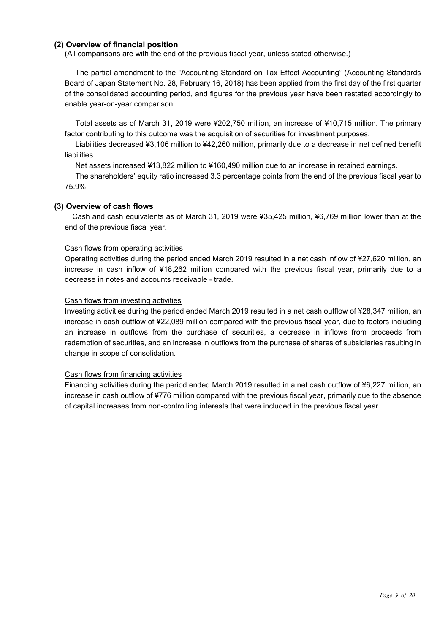#### **(2) Overview of financial position**

(All comparisons are with the end of the previous fiscal year, unless stated otherwise.)

The partial amendment to the "Accounting Standard on Tax Effect Accounting" (Accounting Standards Board of Japan Statement No. 28, February 16, 2018) has been applied from the first day of the first quarter of the consolidated accounting period, and figures for the previous year have been restated accordingly to enable year-on-year comparison.

Total assets as of March 31, 2019 were ¥202,750 million, an increase of ¥10,715 million. The primary factor contributing to this outcome was the acquisition of securities for investment purposes.

Liabilities decreased ¥3,106 million to ¥42,260 million, primarily due to a decrease in net defined benefit liabilities.

Net assets increased ¥13,822 million to ¥160,490 million due to an increase in retained earnings.

The shareholders' equity ratio increased 3.3 percentage points from the end of the previous fiscal year to 75.9%.

#### **(3) Overview of cash flows**

Cash and cash equivalents as of March 31, 2019 were ¥35,425 million, ¥6,769 million lower than at the end of the previous fiscal year.

#### Cash flows from operating activities

Operating activities during the period ended March 2019 resulted in a net cash inflow of ¥27,620 million, an increase in cash inflow of ¥18,262 million compared with the previous fiscal year, primarily due to a decrease in notes and accounts receivable - trade.

#### Cash flows from investing activities

Investing activities during the period ended March 2019 resulted in a net cash outflow of ¥28,347 million, an increase in cash outflow of ¥22,089 million compared with the previous fiscal year, due to factors including an increase in outflows from the purchase of securities, a decrease in inflows from proceeds from redemption of securities, and an increase in outflows from the purchase of shares of subsidiaries resulting in change in scope of consolidation.

#### Cash flows from financing activities

Financing activities during the period ended March 2019 resulted in a net cash outflow of ¥6,227 million, an increase in cash outflow of ¥776 million compared with the previous fiscal year, primarily due to the absence of capital increases from non-controlling interests that were included in the previous fiscal year.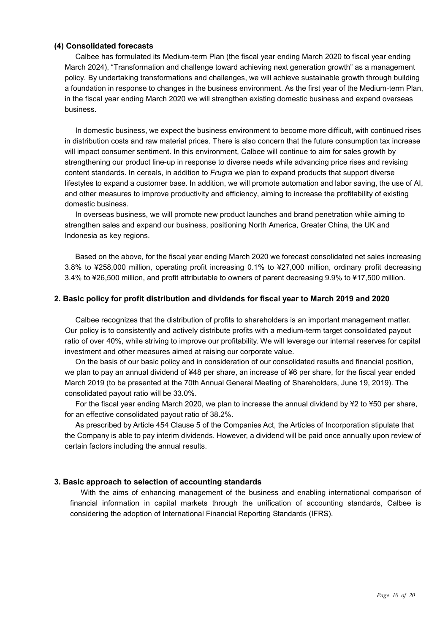#### **(4) Consolidated forecasts**

Calbee has formulated its Medium-term Plan (the fiscal year ending March 2020 to fiscal year ending March 2024), "Transformation and challenge toward achieving next generation growth" as a management policy. By undertaking transformations and challenges, we will achieve sustainable growth through building a foundation in response to changes in the business environment. As the first year of the Medium-term Plan, in the fiscal year ending March 2020 we will strengthen existing domestic business and expand overseas business.

In domestic business, we expect the business environment to become more difficult, with continued rises in distribution costs and raw material prices. There is also concern that the future consumption tax increase will impact consumer sentiment. In this environment, Calbee will continue to aim for sales growth by strengthening our product line-up in response to diverse needs while advancing price rises and revising content standards. In cereals, in addition to *Frugra* we plan to expand products that support diverse lifestyles to expand a customer base. In addition, we will promote automation and labor saving, the use of AI, and other measures to improve productivity and efficiency, aiming to increase the profitability of existing domestic business.

In overseas business, we will promote new product launches and brand penetration while aiming to strengthen sales and expand our business, positioning North America, Greater China, the UK and Indonesia as key regions.

Based on the above, for the fiscal year ending March 2020 we forecast consolidated net sales increasing 3.8% to ¥258,000 million, operating profit increasing 0.1% to ¥27,000 million, ordinary profit decreasing 3.4% to ¥26,500 million, and profit attributable to owners of parent decreasing 9.9% to ¥17,500 million.

#### **2. Basic policy for profit distribution and dividends for fiscal year to March 2019 and 2020**

Calbee recognizes that the distribution of profits to shareholders is an important management matter. Our policy is to consistently and actively distribute profits with a medium-term target consolidated payout ratio of over 40%, while striving to improve our profitability. We will leverage our internal reserves for capital investment and other measures aimed at raising our corporate value.

On the basis of our basic policy and in consideration of our consolidated results and financial position, we plan to pay an annual dividend of ¥48 per share, an increase of ¥6 per share, for the fiscal year ended March 2019 (to be presented at the 70th Annual General Meeting of Shareholders, June 19, 2019). The consolidated payout ratio will be 33.0%.

For the fiscal year ending March 2020, we plan to increase the annual dividend by ¥2 to ¥50 per share, for an effective consolidated payout ratio of 38.2%.

As prescribed by Article 454 Clause 5 of the Companies Act, the Articles of Incorporation stipulate that the Company is able to pay interim dividends. However, a dividend will be paid once annually upon review of certain factors including the annual results.

#### **3. Basic approach to selection of accounting standards**

With the aims of enhancing management of the business and enabling international comparison of financial information in capital markets through the unification of accounting standards, Calbee is considering the adoption of International Financial Reporting Standards (IFRS).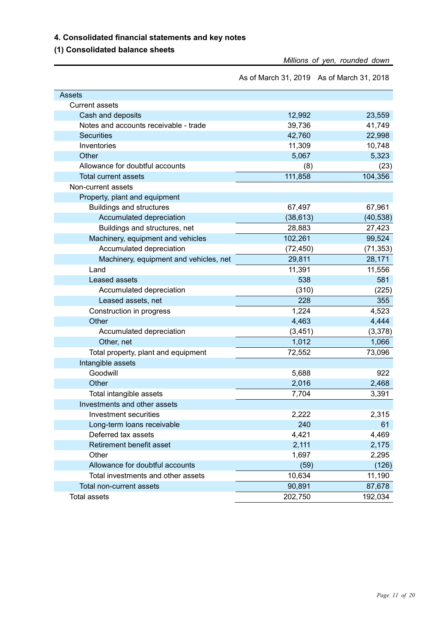#### **4. Consolidated financial statements and key notes**

**(1) Consolidated balance sheets**

*Millions of yen, rounded down*

As of March 31, 2019 As of March 31, 2018

| <b>Assets</b>                          |           |           |
|----------------------------------------|-----------|-----------|
| <b>Current assets</b>                  |           |           |
| Cash and deposits                      | 12,992    | 23,559    |
| Notes and accounts receivable - trade  | 39,736    | 41,749    |
| <b>Securities</b>                      | 42,760    | 22,998    |
| Inventories                            | 11,309    | 10,748    |
| Other                                  | 5,067     | 5,323     |
| Allowance for doubtful accounts        | (8)       | (23)      |
| <b>Total current assets</b>            | 111,858   | 104,356   |
| Non-current assets                     |           |           |
| Property, plant and equipment          |           |           |
| <b>Buildings and structures</b>        | 67,497    | 67,961    |
| Accumulated depreciation               | (38, 613) | (40, 538) |
| Buildings and structures, net          | 28,883    | 27,423    |
| Machinery, equipment and vehicles      | 102,261   | 99,524    |
| Accumulated depreciation               | (72, 450) | (71, 353) |
| Machinery, equipment and vehicles, net | 29,811    | 28,171    |
| Land                                   | 11,391    | 11,556    |
| Leased assets                          | 538       | 581       |
| Accumulated depreciation               | (310)     | (225)     |
| Leased assets, net                     | 228       | 355       |
| Construction in progress               | 1,224     | 4,523     |
| Other                                  | 4,463     | 4,444     |
| Accumulated depreciation               | (3, 451)  | (3,378)   |
| Other, net                             | 1,012     | 1,066     |
| Total property, plant and equipment    | 72,552    | 73,096    |
| Intangible assets                      |           |           |
| Goodwill                               | 5,688     | 922       |
| Other                                  | 2,016     | 2,468     |
| Total intangible assets                | 7,704     | 3,391     |
| Investments and other assets           |           |           |
| Investment securities                  | 2,222     | 2,315     |
| Long-term loans receivable             | 240       | 61        |
| Deferred tax assets                    | 4,421     | 4,469     |
| Retirement benefit asset               | 2,111     | 2,175     |
| Other                                  | 1,697     | 2,295     |
| Allowance for doubtful accounts        | (59)      | (126)     |
| Total investments and other assets     | 10,634    | 11,190    |
| Total non-current assets               | 90,891    | 87,678    |
| <b>Total assets</b>                    | 202,750   | 192,034   |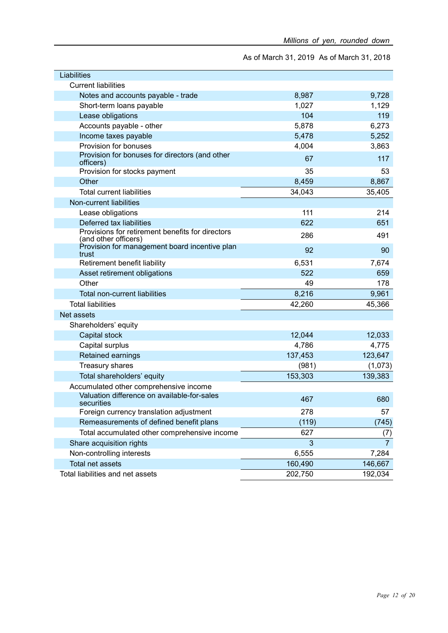As of March 31, 2019 As of March 31, 2018

| Liabilities                                                              |         |                |
|--------------------------------------------------------------------------|---------|----------------|
| <b>Current liabilities</b>                                               |         |                |
| Notes and accounts payable - trade                                       | 8,987   | 9,728          |
| Short-term loans payable                                                 | 1,027   | 1,129          |
| Lease obligations                                                        | 104     | 119            |
| Accounts payable - other                                                 | 5,878   | 6,273          |
| Income taxes payable                                                     | 5,478   | 5,252          |
| Provision for bonuses                                                    | 4,004   | 3,863          |
| Provision for bonuses for directors (and other<br>officers)              | 67      | 117            |
| Provision for stocks payment                                             | 35      | 53             |
| Other                                                                    | 8,459   | 8,867          |
| <b>Total current liabilities</b>                                         | 34,043  | 35,405         |
| Non-current liabilities                                                  |         |                |
| Lease obligations                                                        | 111     | 214            |
| Deferred tax liabilities                                                 | 622     | 651            |
| Provisions for retirement benefits for directors<br>(and other officers) | 286     | 491            |
| Provision for management board incentive plan<br>trust                   | 92      | 90             |
| Retirement benefit liability                                             | 6,531   | 7,674          |
| Asset retirement obligations                                             | 522     | 659            |
| Other                                                                    | 49      | 178            |
| Total non-current liabilities                                            | 8,216   | 9,961          |
| <b>Total liabilities</b>                                                 | 42,260  | 45,366         |
| Net assets                                                               |         |                |
| Shareholders' equity                                                     |         |                |
| Capital stock                                                            | 12,044  | 12,033         |
| Capital surplus                                                          | 4,786   | 4,775          |
| <b>Retained earnings</b>                                                 | 137,453 | 123,647        |
| Treasury shares                                                          | (981)   | (1,073)        |
| Total shareholders' equity                                               | 153,303 | 139,383        |
| Accumulated other comprehensive income                                   |         |                |
| Valuation difference on available-for-sales<br>securities                | 467     | 680            |
| Foreign currency translation adjustment                                  | 278     | 57             |
| Remeasurements of defined benefit plans                                  | (119)   | (745)          |
| Total accumulated other comprehensive income                             | 627     | (7)            |
| Share acquisition rights                                                 | 3       | $\overline{7}$ |
| Non-controlling interests                                                | 6,555   | 7,284          |
| Total net assets                                                         | 160,490 | 146,667        |
| Total liabilities and net assets                                         | 202,750 | 192,034        |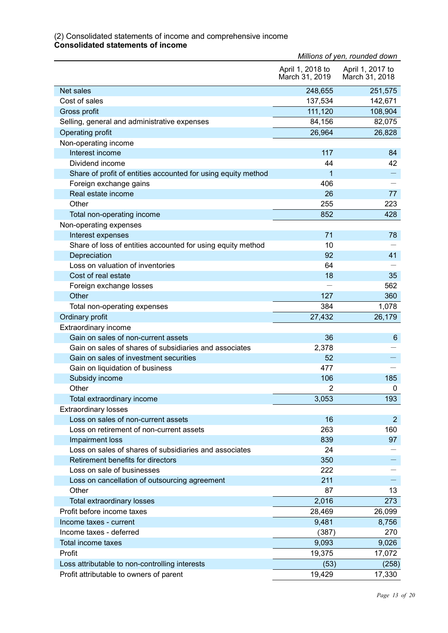#### (2) Consolidated statements of income and comprehensive income **Consolidated statements of income**

|                                                                 | Millions of yen, rounded down      |                                    |
|-----------------------------------------------------------------|------------------------------------|------------------------------------|
|                                                                 | April 1, 2018 to<br>March 31, 2019 | April 1, 2017 to<br>March 31, 2018 |
| Net sales                                                       | 248,655                            | 251,575                            |
| Cost of sales                                                   | 137,534                            | 142,671                            |
| Gross profit                                                    | 111,120                            | 108,904                            |
| Selling, general and administrative expenses                    | 84,156                             | 82,075                             |
| Operating profit                                                | 26,964                             | 26,828                             |
| Non-operating income                                            |                                    |                                    |
| Interest income                                                 | 117                                | 84                                 |
| Dividend income                                                 | 44                                 | 42                                 |
| Share of profit of entities accounted for using equity method   | 1                                  |                                    |
| Foreign exchange gains                                          | 406                                |                                    |
| Real estate income                                              | 26                                 | 77                                 |
| Other                                                           | 255                                | 223                                |
| Total non-operating income                                      | 852                                | 428                                |
| Non-operating expenses                                          |                                    |                                    |
| Interest expenses                                               | 71                                 | 78                                 |
| Share of loss of entities accounted for using equity method     | 10                                 |                                    |
| Depreciation                                                    | 92                                 | 41                                 |
| Loss on valuation of inventories                                | 64                                 |                                    |
| Cost of real estate                                             | 18                                 | 35                                 |
| Foreign exchange losses                                         |                                    | 562                                |
| Other                                                           | 127                                | 360                                |
| Total non-operating expenses                                    | 384                                | 1,078                              |
| Ordinary profit                                                 | 27,432                             | 26,179                             |
| Extraordinary income                                            |                                    |                                    |
| Gain on sales of non-current assets                             | 36                                 | 6                                  |
| Gain on sales of shares of subsidiaries and associates          | 2,378                              |                                    |
| Gain on sales of investment securities                          | 52                                 |                                    |
| Gain on liquidation of business                                 | 477                                |                                    |
| Subsidy income                                                  | 106                                | 185                                |
| Other                                                           | $\overline{c}$                     | 0                                  |
| Total extraordinary income                                      | 3,053                              | 193                                |
| <b>Extraordinary losses</b>                                     |                                    |                                    |
| Loss on sales of non-current assets                             | 16                                 | $\overline{2}$                     |
| Loss on retirement of non-current assets                        | 263                                | 160                                |
| Impairment loss                                                 | 839                                | 97                                 |
| Loss on sales of shares of subsidiaries and associates          | 24                                 |                                    |
| Retirement benefits for directors<br>Loss on sale of businesses | 350                                |                                    |
|                                                                 | 222                                |                                    |
| Loss on cancellation of outsourcing agreement<br>Other          | 211<br>87                          |                                    |
|                                                                 |                                    | 13                                 |
| Total extraordinary losses                                      | 2,016                              | 273                                |
| Profit before income taxes                                      | 28,469                             | 26,099                             |
| Income taxes - current                                          | 9,481                              | 8,756                              |
| Income taxes - deferred                                         | (387)                              | 270                                |
| Total income taxes                                              | 9,093                              | 9,026                              |
| Profit                                                          | 19,375                             | 17,072                             |
| Loss attributable to non-controlling interests                  | (53)                               | (258)                              |
| Profit attributable to owners of parent                         | 19,429                             | 17,330                             |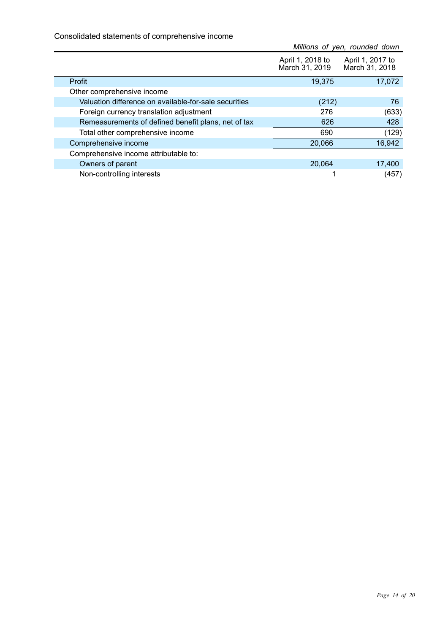Consolidated statements of comprehensive income

|                                                       | Millions of yen, rounded down      |                                    |  |
|-------------------------------------------------------|------------------------------------|------------------------------------|--|
|                                                       | April 1, 2018 to<br>March 31, 2019 | April 1, 2017 to<br>March 31, 2018 |  |
| Profit                                                | 19,375                             | 17,072                             |  |
| Other comprehensive income                            |                                    |                                    |  |
| Valuation difference on available-for-sale securities | (212)                              | 76                                 |  |
| Foreign currency translation adjustment               | 276                                | (633)                              |  |
| Remeasurements of defined benefit plans, net of tax   | 626                                | 428                                |  |
| Total other comprehensive income                      | 690                                | (129)                              |  |
| Comprehensive income                                  | 20,066                             | 16,942                             |  |
| Comprehensive income attributable to:                 |                                    |                                    |  |
| Owners of parent                                      | 20,064                             | 17,400                             |  |
| Non-controlling interests                             |                                    | (457)                              |  |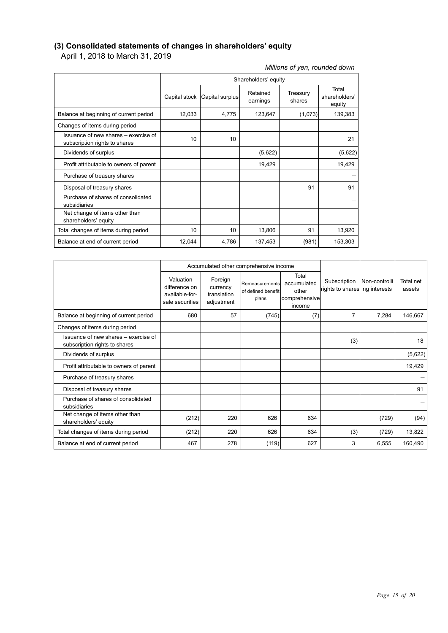#### **(3) Consolidated statements of changes in shareholders' equity**

April 1, 2018 to March 31, 2019

Purchase of shares of consolidated

Net change of items other than

|                                                                       | Shareholders' equity |                               |                      |                    |                                  |  |
|-----------------------------------------------------------------------|----------------------|-------------------------------|----------------------|--------------------|----------------------------------|--|
|                                                                       |                      | Capital stock Capital surplus | Retained<br>earnings | Treasury<br>shares | Total<br>shareholders'<br>equity |  |
| Balance at beginning of current period                                | 12,033               | 4,775                         | 123,647              | (1,073)            | 139,383                          |  |
| Changes of items during period                                        |                      |                               |                      |                    |                                  |  |
| Issuance of new shares - exercise of<br>subscription rights to shares | 10                   | 10                            |                      |                    | 21                               |  |
| Dividends of surplus                                                  |                      |                               | (5,622)              |                    | (5,622)                          |  |
| Profit attributable to owners of parent                               |                      |                               | 19,429               |                    | 19,429                           |  |
| Purchase of treasury shares                                           |                      |                               |                      |                    |                                  |  |
| Disposal of treasury shares                                           |                      |                               |                      | 91                 | 91                               |  |
| Purchase of shares of consolidated<br>subsidiaries                    |                      |                               |                      |                    |                                  |  |
| Net change of items other than<br>shareholders' equity                |                      |                               |                      |                    |                                  |  |
| Total changes of items during period                                  | 10                   | 10                            | 13,806               | 91                 | 13,920                           |  |
| Balance at end of current period                                      | 12,044               | 4,786                         | 137,453              | (981)              | 153,303                          |  |

| shareholders' equity                                                  |                                                                 |                                                  |                                               |                                                          |                                               |               |                     |
|-----------------------------------------------------------------------|-----------------------------------------------------------------|--------------------------------------------------|-----------------------------------------------|----------------------------------------------------------|-----------------------------------------------|---------------|---------------------|
| Total changes of items during period                                  | 10                                                              | 10                                               | 13,806                                        | 91                                                       | 13,920                                        |               |                     |
| Balance at end of current period                                      | 12,044                                                          | 4,786                                            | 137,453                                       | (981)                                                    | 153,303                                       |               |                     |
|                                                                       |                                                                 |                                                  |                                               |                                                          |                                               |               |                     |
|                                                                       |                                                                 |                                                  | Accumulated other comprehensive income        |                                                          |                                               |               |                     |
|                                                                       | Valuation<br>difference on<br>available-for-<br>sale securities | Foreign<br>currency<br>translation<br>adjustment | Remeasurements<br>of defined benefit<br>plans | Total<br>accumulated<br>other<br>comprehensive<br>income | Subscription<br>rights to shares ng interests | Non-controlli | Total net<br>assets |
| Balance at beginning of current period                                | 680                                                             | 57                                               | (745)                                         | (7)                                                      | 7                                             | 7,284         | 146,667             |
| Changes of items during period                                        |                                                                 |                                                  |                                               |                                                          |                                               |               |                     |
| Issuance of new shares – exercise of<br>subscription rights to shares |                                                                 |                                                  |                                               |                                                          | (3)                                           |               | 18                  |
| Dividends of surplus                                                  |                                                                 |                                                  |                                               |                                                          |                                               |               | (5,622)             |
| Profit attributable to owners of parent                               |                                                                 |                                                  |                                               |                                                          |                                               |               | 19,429              |

Purchase of treasury shares **Fig. 1** and the set of the set of treasury shares **Fig. 1** and the set of the set of the set of the set of the set of the set of the set of the set of the set of the set of the set of the set o Disposal of treasury shares 91

subsidiaries -

Net change of items other than<br>shareholders' equity (212) 220 626 634 (729) (94) Total changes of items during period  $(212)$  220 626 634 (3) (729) 13,822 Balance at end of current period  $467$   $467$   $278$   $(119)$   $627$   $3$   $6,555$   $160,490$ 

*Millions of yen, rounded down*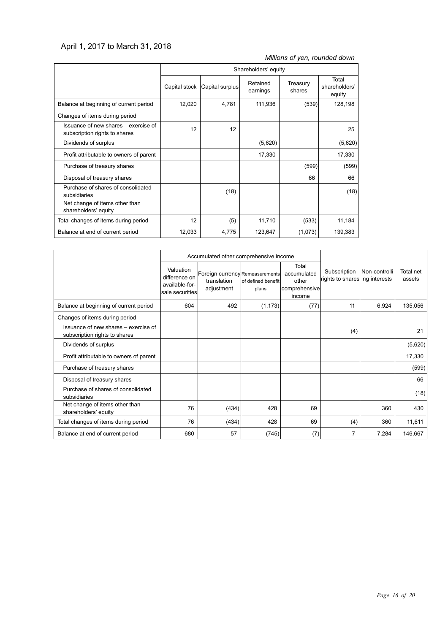#### April 1, 2017 to March 31, 2018

*Millions of yen, rounded down*

|                                                                       | Shareholders' equity |                 |                      |                    |                                  |
|-----------------------------------------------------------------------|----------------------|-----------------|----------------------|--------------------|----------------------------------|
|                                                                       | Capital stock        | Capital surplus | Retained<br>earnings | Treasury<br>shares | Total<br>shareholders'<br>equity |
| Balance at beginning of current period                                | 12,020               | 4,781           | 111,936              | (539)              | 128,198                          |
| Changes of items during period                                        |                      |                 |                      |                    |                                  |
| Issuance of new shares - exercise of<br>subscription rights to shares | 12                   | 12              |                      |                    | 25                               |
| Dividends of surplus                                                  |                      |                 | (5,620)              |                    | (5,620)                          |
| Profit attributable to owners of parent                               |                      |                 | 17,330               |                    | 17,330                           |
| Purchase of treasury shares                                           |                      |                 |                      | (599)              | (599)                            |
| Disposal of treasury shares                                           |                      |                 |                      | 66                 | 66                               |
| Purchase of shares of consolidated<br>subsidiaries                    |                      | (18)            |                      |                    | (18)                             |
| Net change of items other than<br>shareholders' equity                |                      |                 |                      |                    |                                  |
| Total changes of items during period                                  | 12                   | (5)             | 11,710               | (533)              | 11,184                           |
| Balance at end of current period                                      | 12,033               | 4,775           | 123,647              | (1,073)            | 139,383                          |

|                                                                       |                                                                 | Accumulated other comprehensive income                       |                             |                                                          |                                  |                               |                     |
|-----------------------------------------------------------------------|-----------------------------------------------------------------|--------------------------------------------------------------|-----------------------------|----------------------------------------------------------|----------------------------------|-------------------------------|---------------------|
|                                                                       | Valuation<br>difference on<br>available-for-<br>sale securities | Foreign currency Remeasurements<br>translation<br>adjustment | of defined benefit<br>plans | Total<br>accumulated<br>other<br>comprehensive<br>income | Subscription<br>rights to shares | Non-controlli<br>ng interests | Total net<br>assets |
| Balance at beginning of current period                                | 604                                                             | 492                                                          | (1, 173)                    | (77)                                                     | 11                               | 6,924                         | 135,056             |
| Changes of items during period                                        |                                                                 |                                                              |                             |                                                          |                                  |                               |                     |
| Issuance of new shares – exercise of<br>subscription rights to shares |                                                                 |                                                              |                             |                                                          | (4)                              |                               | 21                  |
| Dividends of surplus                                                  |                                                                 |                                                              |                             |                                                          |                                  |                               | (5,620)             |
| Profit attributable to owners of parent                               |                                                                 |                                                              |                             |                                                          |                                  |                               | 17,330              |
| Purchase of treasury shares                                           |                                                                 |                                                              |                             |                                                          |                                  |                               | (599)               |
| Disposal of treasury shares                                           |                                                                 |                                                              |                             |                                                          |                                  |                               | 66                  |
| Purchase of shares of consolidated<br>subsidiaries                    |                                                                 |                                                              |                             |                                                          |                                  |                               | (18)                |
| Net change of items other than<br>shareholders' equity                | 76                                                              | (434)                                                        | 428                         | 69                                                       |                                  | 360                           | 430                 |
| Total changes of items during period                                  | 76                                                              | (434)                                                        | 428                         | 69                                                       | (4)                              | 360                           | 11,611              |
| Balance at end of current period                                      | 680                                                             | 57                                                           | (745)                       | (7)                                                      | 7                                | 7,284                         | 146,667             |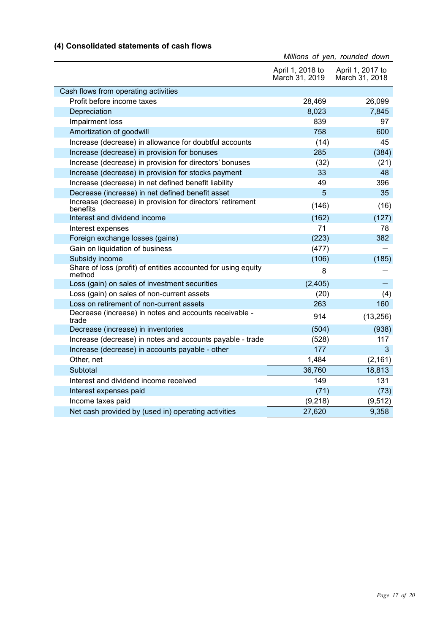| (4) Consolidated statements of cash flows |  |  |  |  |
|-------------------------------------------|--|--|--|--|
|-------------------------------------------|--|--|--|--|

|                                                                         |                                    | Millions of yen, rounded down      |
|-------------------------------------------------------------------------|------------------------------------|------------------------------------|
|                                                                         | April 1, 2018 to<br>March 31, 2019 | April 1, 2017 to<br>March 31, 2018 |
| Cash flows from operating activities                                    |                                    |                                    |
| Profit before income taxes                                              | 28,469                             | 26,099                             |
| Depreciation                                                            | 8,023                              | 7,845                              |
| Impairment loss                                                         | 839                                | 97                                 |
| Amortization of goodwill                                                | 758                                | 600                                |
| Increase (decrease) in allowance for doubtful accounts                  | (14)                               | 45                                 |
| Increase (decrease) in provision for bonuses                            | 285                                | (384)                              |
| Increase (decrease) in provision for directors' bonuses                 | (32)                               | (21)                               |
| Increase (decrease) in provision for stocks payment                     | 33                                 | 48                                 |
| Increase (decrease) in net defined benefit liability                    | 49                                 | 396                                |
| Decrease (increase) in net defined benefit asset                        | 5                                  | 35                                 |
| Increase (decrease) in provision for directors' retirement<br>benefits  | (146)                              | (16)                               |
| Interest and dividend income                                            | (162)                              | (127)                              |
| Interest expenses                                                       | 71                                 | 78                                 |
| Foreign exchange losses (gains)                                         | (223)                              | 382                                |
| Gain on liquidation of business                                         | (477)                              |                                    |
| Subsidy income                                                          | (106)                              | (185)                              |
| Share of loss (profit) of entities accounted for using equity<br>method | 8                                  |                                    |
| Loss (gain) on sales of investment securities                           | (2, 405)                           |                                    |
| Loss (gain) on sales of non-current assets                              | (20)                               | (4)                                |
| Loss on retirement of non-current assets                                | 263                                | 160                                |
| Decrease (increase) in notes and accounts receivable -<br>trade         | 914                                | (13, 256)                          |
| Decrease (increase) in inventories                                      | (504)                              | (938)                              |
| Increase (decrease) in notes and accounts payable - trade               | (528)                              | 117                                |
| Increase (decrease) in accounts payable - other                         | 177                                | 3                                  |
| Other, net                                                              | 1,484                              | (2, 161)                           |
| Subtotal                                                                | 36,760                             | 18,813                             |
| Interest and dividend income received                                   | 149                                | 131                                |
| Interest expenses paid                                                  | (71)                               | (73)                               |
| Income taxes paid                                                       | (9,218)                            | (9, 512)                           |
| Net cash provided by (used in) operating activities                     | 27,620                             | 9,358                              |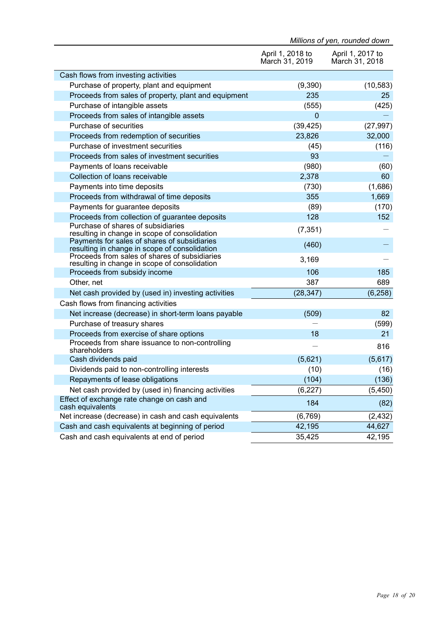|                                                                                                | Millions of yen, rounded down      |                                    |  |
|------------------------------------------------------------------------------------------------|------------------------------------|------------------------------------|--|
|                                                                                                | April 1, 2018 to<br>March 31, 2019 | April 1, 2017 to<br>March 31, 2018 |  |
| Cash flows from investing activities                                                           |                                    |                                    |  |
| Purchase of property, plant and equipment                                                      | (9,390)                            | (10, 583)                          |  |
| Proceeds from sales of property, plant and equipment                                           | 235                                | 25                                 |  |
| Purchase of intangible assets                                                                  | (555)                              | (425)                              |  |
| Proceeds from sales of intangible assets                                                       | $\mathbf 0$                        |                                    |  |
| Purchase of securities                                                                         | (39, 425)                          | (27, 997)                          |  |
| Proceeds from redemption of securities                                                         | 23,826                             | 32,000                             |  |
| Purchase of investment securities                                                              | (45)                               | (116)                              |  |
| Proceeds from sales of investment securities                                                   | 93                                 |                                    |  |
| Payments of loans receivable                                                                   | (980)                              | (60)                               |  |
| Collection of loans receivable                                                                 | 2,378                              | 60                                 |  |
| Payments into time deposits                                                                    | (730)                              | (1,686)                            |  |
| Proceeds from withdrawal of time deposits                                                      | 355                                | 1,669                              |  |
| Payments for guarantee deposits                                                                | (89)                               | (170)                              |  |
| Proceeds from collection of guarantee deposits                                                 | 128                                | 152                                |  |
| Purchase of shares of subsidiaries<br>resulting in change in scope of consolidation            | (7, 351)                           |                                    |  |
| Payments for sales of shares of subsidiaries<br>resulting in change in scope of consolidation  | (460)                              |                                    |  |
| Proceeds from sales of shares of subsidiaries<br>resulting in change in scope of consolidation | 3,169                              |                                    |  |
| Proceeds from subsidy income                                                                   | 106                                | 185                                |  |
| Other, net                                                                                     | 387                                | 689                                |  |
| Net cash provided by (used in) investing activities                                            | (28, 347)                          | (6, 258)                           |  |
| Cash flows from financing activities                                                           |                                    |                                    |  |
| Net increase (decrease) in short-term loans payable                                            | (509)                              | 82                                 |  |
| Purchase of treasury shares                                                                    |                                    | (599)                              |  |
| Proceeds from exercise of share options                                                        | 18                                 | 21                                 |  |
| Proceeds from share issuance to non-controlling<br>shareholders                                |                                    | 816                                |  |
| Cash dividends paid                                                                            | (5,621)                            | (5,617)                            |  |
| Dividends paid to non-controlling interests                                                    | (10)                               | (16)                               |  |
| Repayments of lease obligations                                                                | (104)                              | (136)                              |  |
| Net cash provided by (used in) financing activities                                            | (6, 227)                           | (5, 450)                           |  |
| Effect of exchange rate change on cash and<br>cash equivalents                                 | 184                                | (82)                               |  |
| Net increase (decrease) in cash and cash equivalents                                           | (6, 769)                           | (2, 432)                           |  |
| Cash and cash equivalents at beginning of period                                               | 42,195                             | 44,627                             |  |
| Cash and cash equivalents at end of period                                                     | 35,425                             | 42,195                             |  |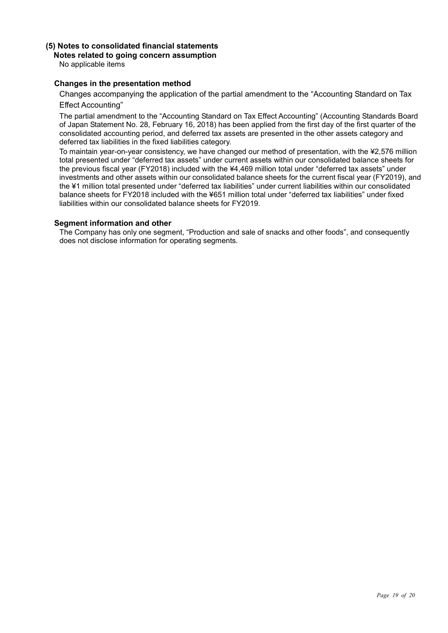### **(5) Notes to consolidated financial statements**

#### **Notes related to going concern assumption**

No applicable items

#### **Changes in the presentation method**

Changes accompanying the application of the partial amendment to the "Accounting Standard on Tax Effect Accounting"

The partial amendment to the "Accounting Standard on Tax Effect Accounting" (Accounting Standards Board of Japan Statement No. 28, February 16, 2018) has been applied from the first day of the first quarter of the consolidated accounting period, and deferred tax assets are presented in the other assets category and deferred tax liabilities in the fixed liabilities category.

To maintain year-on-year consistency, we have changed our method of presentation, with the ¥2,576 million total presented under "deferred tax assets" under current assets within our consolidated balance sheets for the previous fiscal year (FY2018) included with the ¥4,469 million total under "deferred tax assets" under investments and other assets within our consolidated balance sheets for the current fiscal year (FY2019), and the ¥1 million total presented under "deferred tax liabilities" under current liabilities within our consolidated balance sheets for FY2018 included with the ¥651 million total under "deferred tax liabilities" under fixed liabilities within our consolidated balance sheets for FY2019.

#### **Segment information and other**

The Company has only one segment, "Production and sale of snacks and other foods", and consequently does not disclose information for operating segments.